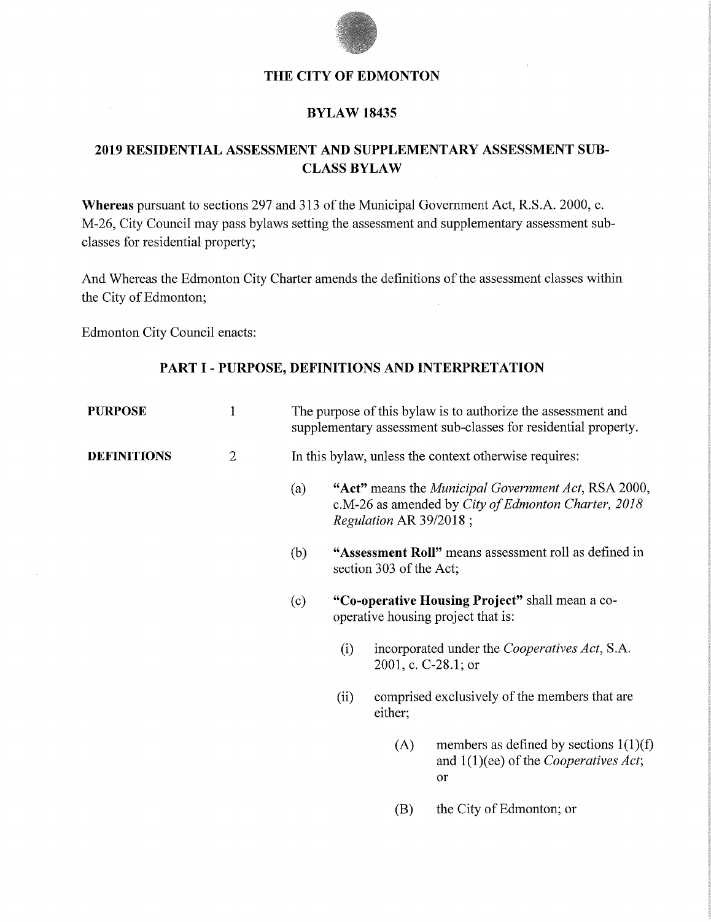

### **THE CITY OF EDMONTON**

#### **BYLAW 18435**

# **2019 RESIDENTIAL ASSESSMENT AND SUPPLEMENTARY ASSESSMENT SUB-CLASS BYLAW**

**Whereas** pursuant to sections 297 and 313 of the Municipal Government Act, R.S.A. 2000, c. M-26, City Council may pass bylaws setting the assessment and supplementary assessment subclasses for residential property;

And Whereas the Edmonton City Charter amends the definitions of the assessment classes within the City of Edmonton;

Edmonton City Council enacts:

#### **PART I-PURPOSE, DEFINITIONS AND INTERPRETATION**

| <b>PURPOSE</b>     | $\mathbf{1}$ | The purpose of this bylaw is to authorize the assessment and<br>supplementary assessment sub-classes for residential property. |                                                                                                                                                                           |                                                                              |                                                                                                   |  |  |  |
|--------------------|--------------|--------------------------------------------------------------------------------------------------------------------------------|---------------------------------------------------------------------------------------------------------------------------------------------------------------------------|------------------------------------------------------------------------------|---------------------------------------------------------------------------------------------------|--|--|--|
| <b>DEFINITIONS</b> | $\mathbf{2}$ | In this bylaw, unless the context otherwise requires:                                                                          |                                                                                                                                                                           |                                                                              |                                                                                                   |  |  |  |
|                    |              | (a)                                                                                                                            | "Act" means the <i>Municipal Government Act</i> , RSA 2000,<br>c.M-26 as amended by City of Edmonton Charter, 2018<br>Regulation AR 39/2018;                              |                                                                              |                                                                                                   |  |  |  |
|                    |              | (b)                                                                                                                            | "Assessment Roll" means assessment roll as defined in<br>section 303 of the Act;<br>"Co-operative Housing Project" shall mean a co-<br>operative housing project that is: |                                                                              |                                                                                                   |  |  |  |
|                    |              | (c)                                                                                                                            |                                                                                                                                                                           |                                                                              |                                                                                                   |  |  |  |
|                    |              |                                                                                                                                | (i)                                                                                                                                                                       | incorporated under the <i>Cooperatives Act</i> , S.A.<br>2001, c. C-28.1; or |                                                                                                   |  |  |  |
|                    |              |                                                                                                                                | (ii)<br>either;                                                                                                                                                           |                                                                              | comprised exclusively of the members that are                                                     |  |  |  |
|                    |              |                                                                                                                                |                                                                                                                                                                           | (A)                                                                          | members as defined by sections $1(1)(f)$<br>and $1(1)(ee)$ of the <i>Cooperatives Act</i> ;<br>or |  |  |  |
|                    |              |                                                                                                                                |                                                                                                                                                                           | (B)                                                                          | the City of Edmonton; or                                                                          |  |  |  |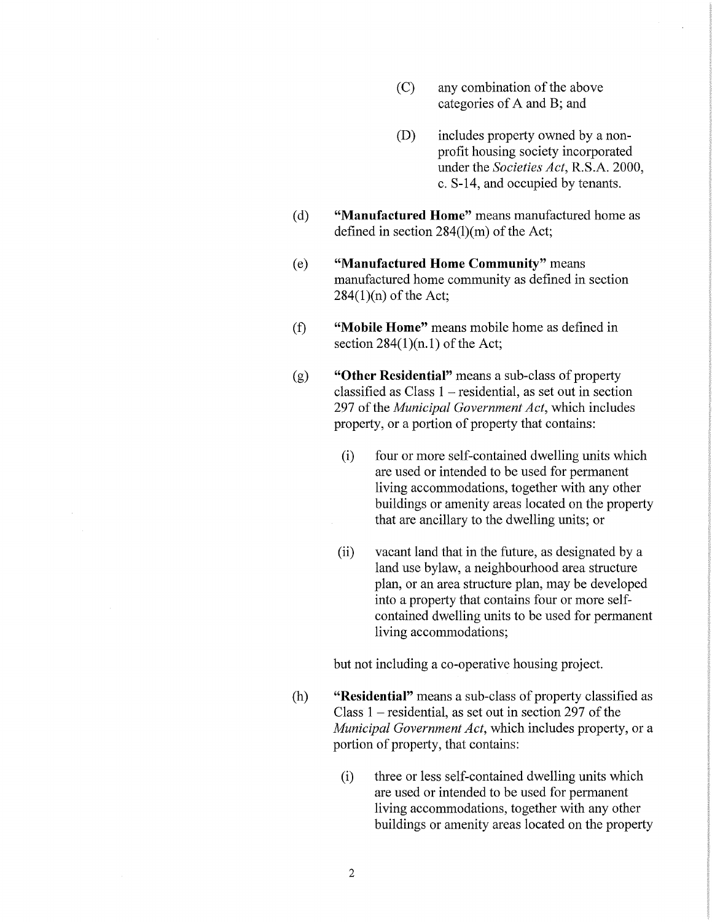- (C) any combination of the above categories of A and B; and
- (D) includes property owned by a nonprofit housing society incorporated under the *Societies Act*, R.S.A. 2000, c. S-14, and occupied by tenants.
- ( d) **"Manufactured Home"** means manufactured home as defined in section 284(l)(m) of the Act;
- ( e) **"Manufactured Home Community"** means manufactured home community as defined in section  $284(1)(n)$  of the Act;
- (f) **"Mobile Home"** means mobile home as defined in section  $284(1)(n.1)$  of the Act;
- (g) **"Other Residential"** means a sub-class of property classified as  $Class 1 - residual$ , as set out in section 297 of the *Municipal Government Act,* which includes property, or a portion of property that contains:
	- (i) four or more self-contained dwelling units which are used or intended to be used for permanent living accommodations, together with any other buildings or amenity areas located on the property that are ancillary to the dwelling units; or
	- (ii) vacant land that in the future, as designated by a land use bylaw, a neighbourhood area structure plan, or an area structure plan, may be developed into a property that contains four or more selfcontained dwelling units to be used for permanent living accommodations;

but not including a co-operative housing project.

- (h) **"Residential"** means a sub-class of property classified as Class  $1$  – residential, as set out in section 297 of the *Municipal Government Act,* which includes property, or a portion of property, that contains:
	- (i) three or less self-contained dwelling units which are used or intended to be used for permanent living accommodations, together with any other buildings or amenity areas located on the property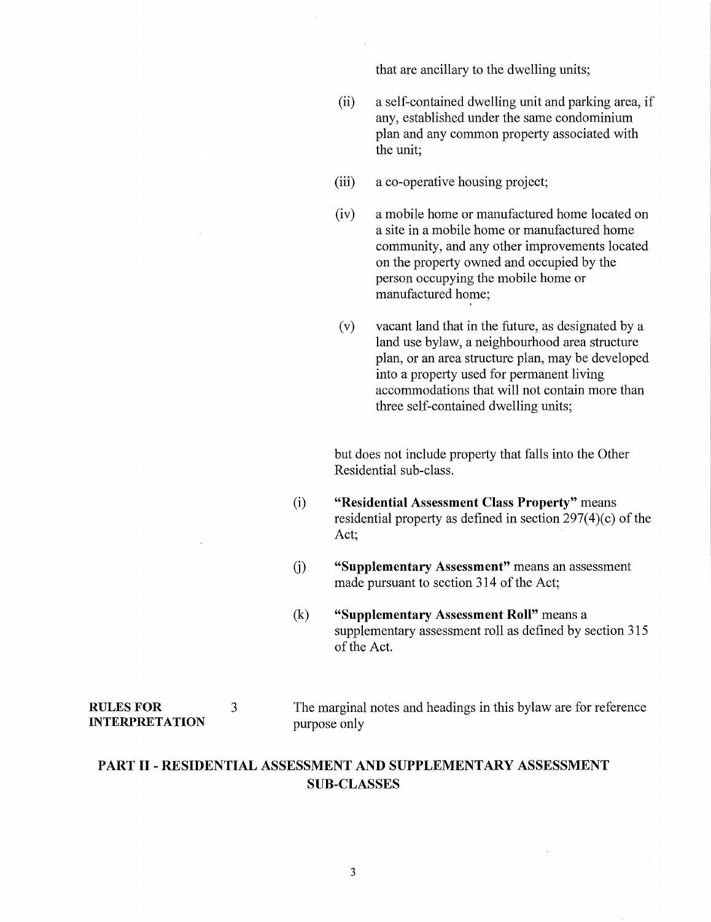that are ancillary to the dwelling units;

- (ii) a self-contained dwelling unit and parking area, if any, established under the same condominium plan and any common property associated with the unit;
- (iii) a co-operative housing project;
- (iv) a mobile home or manufactured home located on a site in a mobile home or manufactured home community, and any other improvements located on the property owned and occupied by the person occupying the mobile home or manufactured home;
- ( v) vacant land that in the future, as designated by a land use bylaw, a neighbourhood area structure plan, or an area structure plan, may be developed into a property used for permanent living accommodations that will not contain more than three self-contained dwelling units;

but does not include property that falls into the Other Residential sub-class.

- (i) **"Residential Assessment Class Property"** means residential property as defined in section  $297(4)(c)$  of the Act;
- G) **"Supplementary Assessment"** means an assessment made pursuant to section 314 of the Act;
- (k) **"Supplementary Assessment Roll"** means a supplementary assessment roll as defined by section 315 of the Act.

#### **RULES FOR INTERPRETATION**

3

The marginal notes and headings in this bylaw are for reference purpose only

## **PART** II - **RESIDENTIAL ASSESSMENT AND SUPPLEMENTARY ASSESSMENT SUB-CLASSES**